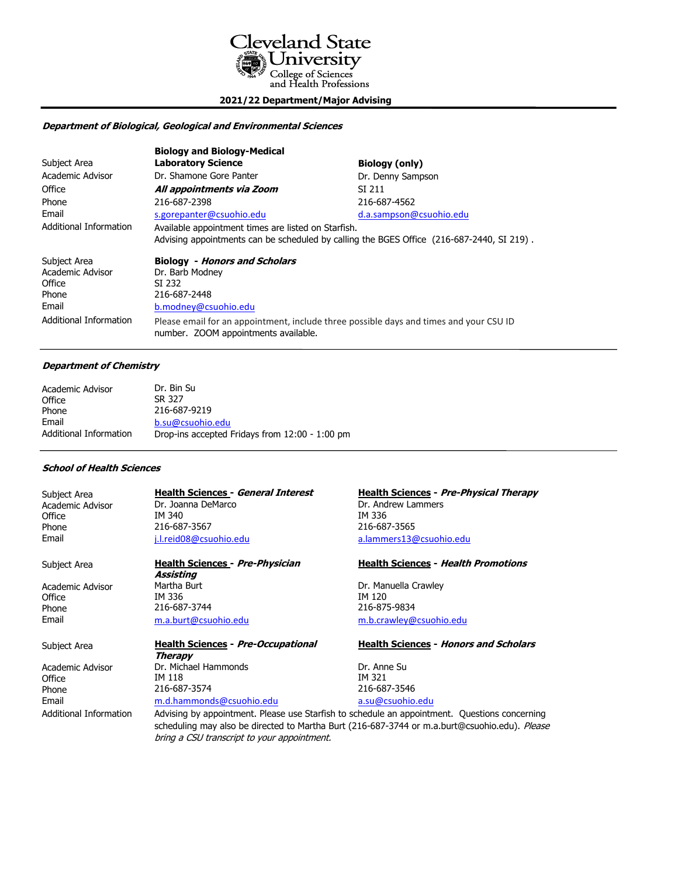

**2021/22 Department/Major Advising**

# **Department of Biological, Geological and Environmental Sciences**

|                                                                                        | <b>Biology and Biology-Medical</b>                                                                                                               |                         |
|----------------------------------------------------------------------------------------|--------------------------------------------------------------------------------------------------------------------------------------------------|-------------------------|
| Subject Area                                                                           | <b>Laboratory Science</b>                                                                                                                        | <b>Biology (only)</b>   |
| Academic Advisor                                                                       | Dr. Shamone Gore Panter                                                                                                                          | Dr. Denny Sampson       |
| Office                                                                                 | All appointments via Zoom                                                                                                                        | SI 211                  |
| Phone                                                                                  | 216-687-2398                                                                                                                                     | 216-687-4562            |
| Email                                                                                  | s.gorepanter@csuohio.edu                                                                                                                         | d.a.sampson@csuohio.edu |
| Additional Information                                                                 | Available appointment times are listed on Starfish.<br>Advising appointments can be scheduled by calling the BGES Office (216-687-2440, SI 219). |                         |
| Subject Area<br>Academic Advisor<br>Office<br>Phone<br>Email<br>Additional Information | <b>Biology</b> - Honors and Scholars<br>Dr. Barb Modney<br>SI 232<br>216-687-2448<br>b.modney@csuohio.edu                                        |                         |
|                                                                                        | Please email for an appointment, include three possible days and times and your CSU ID<br>number. ZOOM appointments available.                   |                         |

### **Department of Chemistry**

| Academic Advisor              | Dr. Bin Su                                     |
|-------------------------------|------------------------------------------------|
| Office                        | SR 327                                         |
| Phone                         | 216-687-9219                                   |
| Email                         | b.su@csuohio.edu                               |
| <b>Additional Information</b> | Drop-ins accepted Fridays from 12:00 - 1:00 pm |

### **School of Health Sciences**

| Subject Area     | <b>Health Sciences - General Interest</b> | Health  |
|------------------|-------------------------------------------|---------|
| Academic Advisor | Dr. Joanna DeMarco                        | Dr. And |
| Office           | IM 340                                    | IM 336  |
| Phone            | 216-687-3567                              | 216-68  |
| Email            | j.l.reid08@csuohio.edu                    | a.lamn  |
|                  |                                           |         |

**Assisting** Academic Advisor Martha Burt **Martha Burt Constructs Constructs** Dr. Manuella Crawley<br>
Office **Dr. Manuella Crawley** Office TM 336 IM 120 Phone 216-687-3744 216-687-3744 216-875-9834 Email [m.a.burt@csuohio.edu](mailto:m.a.burt@csuohio.edu) [m.b.crawley@csuohio.edu](mailto:m.b.crawley@csuohio.edu)

Subject Area **Health Sciences - Pre-Occupational Health Sciences - Honors and Scholars Therapy** Academic Advisor **Dr. Michael Hammonds** Dr. Anne Su Office **IM 118** IM 321 Phone 216-687-3574 216-687-3546 Email [m.d.hammonds@csuohio.edu](mailto:m.d.hammonds@csuohio.edu) [a.su@csuohio.edu](mailto:a.su@csuohio.edu)

**Health Sciences - Pre-Physical Therapy** Dr. Andrew Lammers<br>IM 336 216-687-3565 [a.lammers13@csuohio.edu](mailto:a.lammers13@csuohio.edu)

# Subject Area **Health Sciences - Pre-Physician Health Sciences - Health Promotions**

Additional Information Advising by appointment. Please use Starfish to schedule an appointment. Questions concerning scheduling may also be directed to Martha Burt (216-687-3744 or m.a.burt@csuohio.edu). Please bring a CSU transcript to your appointment.